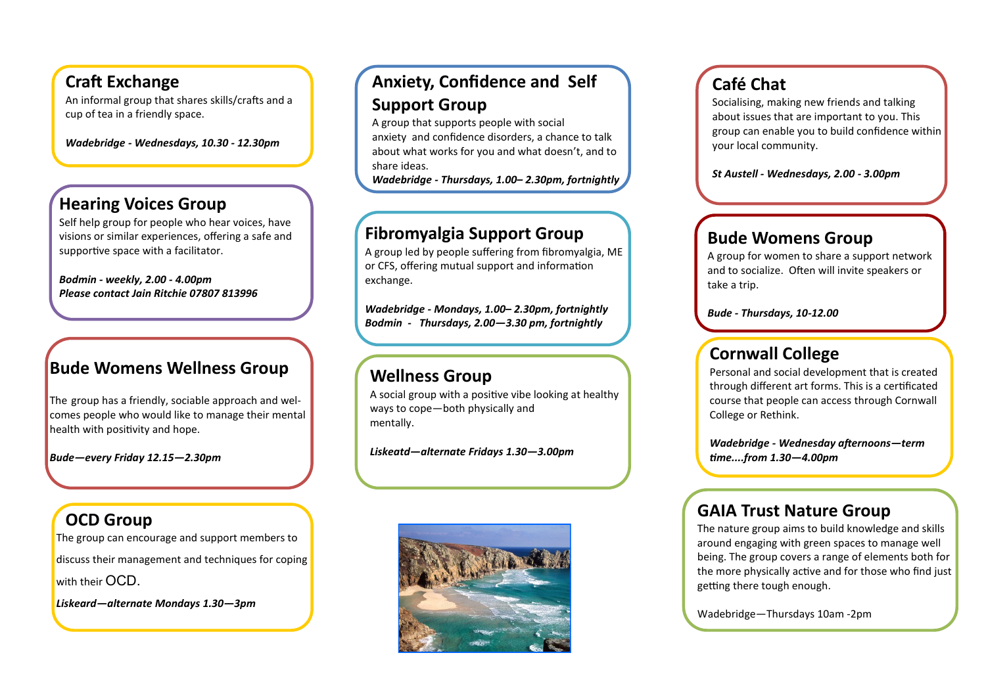### **Craft Exchange**

An informal group that shares skills/crafts and a cup of tea in a friendly space.

*Wadebridge - Wednesdays, 10.30 - 12.30pm*

### **Hearing Voices Group**

Self help group for people who hear voices, have visions or similar experiences, offering a safe and supportive space with a facilitator.

*Bodmin - weekly, 2.00 - 4.00pm Please contact Jain Ritchie 07807 813996*

### **Bude Womens Wellness Group**

The group has a friendly, sociable approach and welcomes people who would like to manage their mental health with positivity and hope.

*Bude—every Friday 12.15—2.30pm*

# **OCD Group**

The group can encourage and support members to discuss their management and techniques for coping with their OCD. *Liskeard—alternate Mondays 1.30—3pm*

# **Anxiety, Confidence and Self Support Group**

A group that supports people with social anxiety and confidence disorders, a chance to talk about what works for you and what doesn't, and to share ideas.

*Wadebridge - Thursdays, 1.00– 2.30pm, fortnightly*

### **Fibromyalgia Support Group**

A group led by people suffering from fibromyalgia, ME or CFS, offering mutual support and information exchange.

*Wadebridge - Mondays, 1.00– 2.30pm, fortnightly Bodmin - Thursdays, 2.00—3.30 pm, fortnightly*

### **Wellness Group**

A social group with a positive vibe looking at healthy ways to cope—both physically and mentally.

*Liskeatd—alternate Fridays 1.30—3.00pm*



# **Café Chat**

Socialising, making new friends and talking about issues that are important to you. This group can enable you to build confidence within your local community.

*St Austell - Wednesdays, 2.00 - 3.00pm*

### **Bude Womens Group**

A group for women to share a support network and to socialize. Often will invite speakers or take a trip.

*Bude - Thursdays, 10-12.00*

# **Cornwall College**

Personal and social development that is created through different art forms. This is a certificated course that people can access through Cornwall College or Rethink.

*Wadebridge - Wednesday afternoons—term time....from 1.30—4.00pm*

### **GAIA Trust Nature Group**

The nature group aims to build knowledge and skills around engaging with green spaces to manage well being. The group covers a range of elements both for the more physically active and for those who find just getting there tough enough.

Wadebridge—Thursdays 10am -2pm